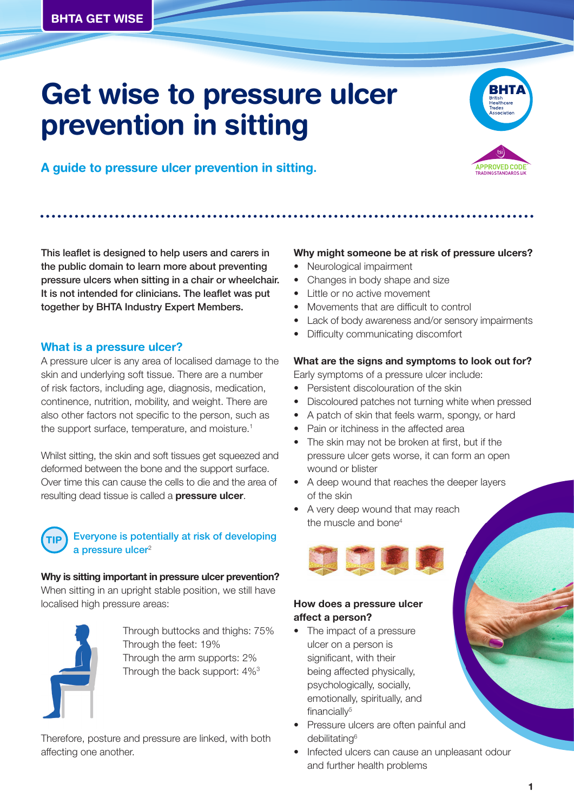# **Get wise to pressure ulcer prevention in sitting**



**PROVED COL** 

**A guide to pressure ulcer prevention in sitting.**

This leaflet is designed to help users and carers in the public domain to learn more about preventing pressure ulcers when sitting in a chair or wheelchair. It is not intended for clinicians. The leaflet was put together by BHTA Industry Expert Members.

#### **What is a pressure ulcer?**

A pressure ulcer is any area of localised damage to the skin and underlying soft tissue. There are a number of risk factors, including age, diagnosis, medication, continence, nutrition, mobility, and weight. There are also other factors not specific to the person, such as the support surface, temperature, and moisture.<sup>1</sup>

Whilst sitting, the skin and soft tissues get squeezed and deformed between the bone and the support surface. Over time this can cause the cells to die and the area of resulting dead tissue is called a **pressure ulcer**.



#### Everyone is potentially at risk of developing  $a$  pressure ulcer $2$

**Why is sitting important in pressure ulcer prevention?** When sitting in an upright stable position, we still have localised high pressure areas:



Through buttocks and thighs: 75% Through the feet: 19% Through the arm supports: 2% Through the back support: 4%3

Therefore, posture and pressure are linked, with both affecting one another.

#### **Why might someone be at risk of pressure ulcers?**

- Neurological impairment
- Changes in body shape and size
- Little or no active movement
- Movements that are difficult to control
- Lack of body awareness and/or sensory impairments
- Difficulty communicating discomfort

#### **What are the signs and symptoms to look out for?**

Early symptoms of a pressure ulcer include:

- Persistent discolouration of the skin
- Discoloured patches not turning white when pressed
- A patch of skin that feels warm, spongy, or hard
- Pain or itchiness in the affected area
- The skin may not be broken at first, but if the pressure ulcer gets worse, it can form an open wound or blister
- A deep wound that reaches the deeper layers of the skin
- A very deep wound that may reach the muscle and bone<sup>4</sup>



#### **How does a pressure ulcer affect a person?**

- The impact of a pressure ulcer on a person is significant, with their being affected physically, psychologically, socially, emotionally, spiritually, and financiall $v<sup>5</sup>$
- Pressure ulcers are often painful and debilitating<sup>6</sup>
- Infected ulcers can cause an unpleasant odour and further health problems